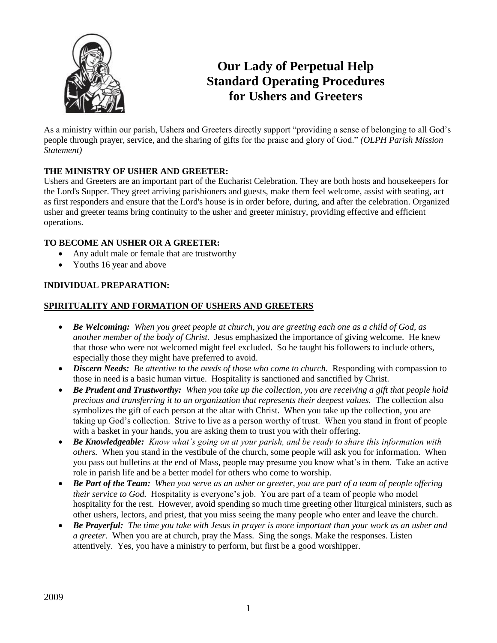

# **Our Lady of Perpetual Help Standard Operating Procedures for Ushers and Greeters**

As a ministry within our parish, Ushers and Greeters directly support "providing a sense of belonging to all God's people through prayer, service, and the sharing of gifts for the praise and glory of God." *(OLPH Parish Mission Statement)*

# **THE MINISTRY OF USHER AND GREETER:**

Ushers and Greeters are an important part of the Eucharist Celebration. They are both hosts and housekeepers for the Lord's Supper. They greet arriving parishioners and guests, make them feel welcome, assist with seating, act as first responders and ensure that the Lord's house is in order before, during, and after the celebration. Organized usher and greeter teams bring continuity to the usher and greeter ministry, providing effective and efficient operations.

## **TO BECOME AN USHER OR A GREETER:**

- Any adult male or female that are trustworthy
- Youths 16 year and above

# **INDIVIDUAL PREPARATION:**

# **SPIRITUALITY AND FORMATION OF USHERS AND GREETERS**

- *Be Welcoming: When you greet people at church, you are greeting each one as a child of God, as another member of the body of Christ.* Jesus emphasized the importance of giving welcome. He knew that those who were not welcomed might feel excluded. So he taught his followers to include others, especially those they might have preferred to avoid.
- Discern Needs: Be attentive to the needs of those who come to church. Responding with compassion to those in need is a basic human virtue. Hospitality is sanctioned and sanctified by Christ.
- *Be Prudent and Trustworthy: When you take up the collection, you are receiving a gift that people hold precious and transferring it to an organization that represents their deepest values.* The collection also symbolizes the gift of each person at the altar with Christ. When you take up the collection, you are taking up God's collection. Strive to live as a person worthy of trust. When you stand in front of people with a basket in your hands, you are asking them to trust you with their offering.
- *Be Knowledgeable: Know what's going on at your parish, and be ready to share this information with others.* When you stand in the vestibule of the church, some people will ask you for information. When you pass out bulletins at the end of Mass, people may presume you know what's in them. Take an active role in parish life and be a better model for others who come to worship.
- *Be Part of the Team: When you serve as an usher or greeter, you are part of a team of people offering their service to God.* Hospitality is everyone's job. You are part of a team of people who model hospitality for the rest. However, avoid spending so much time greeting other liturgical ministers, such as other ushers, lectors, and priest, that you miss seeing the many people who enter and leave the church.
- *Be Prayerful: The time you take with Jesus in prayer is more important than your work as an usher and a greeter.* When you are at church, pray the Mass. Sing the songs. Make the responses. Listen attentively. Yes, you have a ministry to perform, but first be a good worshipper.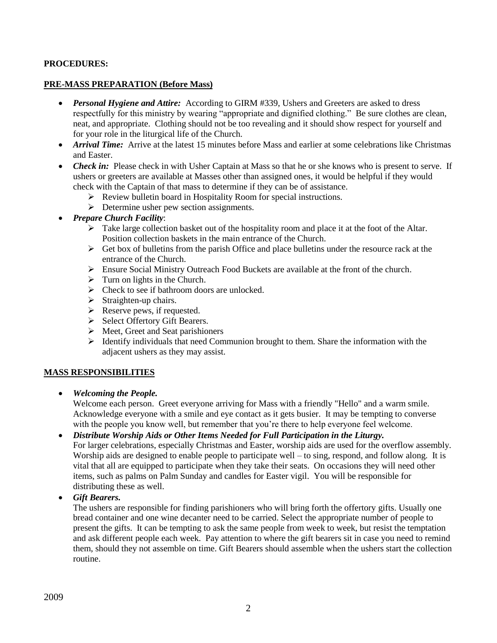## **PROCEDURES:**

#### **PRE-MASS PREPARATION (Before Mass)**

- *Personal Hygiene and Attire:* According to GIRM #339, Ushers and Greeters are asked to dress respectfully for this ministry by wearing "appropriate and dignified clothing." Be sure clothes are clean, neat, and appropriate. Clothing should not be too revealing and it should show respect for yourself and for your role in the liturgical life of the Church.
- *Arrival Time:* Arrive at the latest 15 minutes before Mass and earlier at some celebrations like Christmas and Easter.
- *Check in:* Please check in with Usher Captain at Mass so that he or she knows who is present to serve. If ushers or greeters are available at Masses other than assigned ones, it would be helpful if they would check with the Captain of that mass to determine if they can be of assistance.
	- Review bulletin board in Hospitality Room for special instructions.
	- $\triangleright$  Determine usher pew section assignments.
- *Prepare Church Facility*:
	- $\triangleright$  Take large collection basket out of the hospitality room and place it at the foot of the Altar. Position collection baskets in the main entrance of the Church.
	- $\triangleright$  Get box of bulletins from the parish Office and place bulletins under the resource rack at the entrance of the Church.
	- Ensure Social Ministry Outreach Food Buckets are available at the front of the church.
	- $\triangleright$  Turn on lights in the Church.
	- $\triangleright$  Check to see if bathroom doors are unlocked.
	- $\triangleright$  Straighten-up chairs.
	- $\triangleright$  Reserve pews, if requested.
	- $\triangleright$  Select Offertory Gift Bearers.
	- $\triangleright$  Meet, Greet and Seat parishioners
	- $\triangleright$  Identify individuals that need Communion brought to them. Share the information with the adjacent ushers as they may assist.

#### **MASS RESPONSIBILITIES**

*Welcoming the People.* 

Welcome each person. Greet everyone arriving for Mass with a friendly "Hello" and a warm smile. Acknowledge everyone with a smile and eye contact as it gets busier. It may be tempting to converse with the people you know well, but remember that you're there to help everyone feel welcome.

 *Distribute Worship Aids or Other Items Needed for Full Participation in the Liturgy.* For larger celebrations, especially Christmas and Easter, worship aids are used for the overflow assembly. Worship aids are designed to enable people to participate well – to sing, respond, and follow along. It is vital that all are equipped to participate when they take their seats. On occasions they will need other items, such as palms on Palm Sunday and candles for Easter vigil. You will be responsible for distributing these as well.

*Gift Bearers.*

The ushers are responsible for finding parishioners who will bring forth the offertory gifts. Usually one bread container and one wine decanter need to be carried. Select the appropriate number of people to present the gifts. It can be tempting to ask the same people from week to week, but resist the temptation and ask different people each week. Pay attention to where the gift bearers sit in case you need to remind them, should they not assemble on time. Gift Bearers should assemble when the ushers start the collection routine.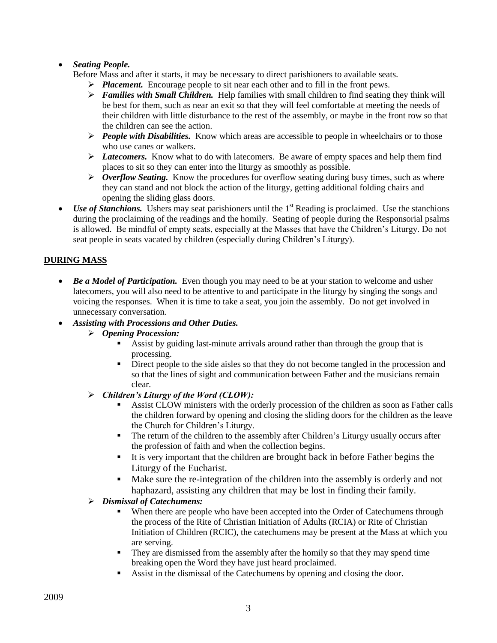# *Seating People.*

Before Mass and after it starts, it may be necessary to direct parishioners to available seats.

- *Placement.* Encourage people to sit near each other and to fill in the front pews.
- $\triangleright$  *Families with Small Children.* Help families with small children to find seating they think will be best for them, such as near an exit so that they will feel comfortable at meeting the needs of their children with little disturbance to the rest of the assembly, or maybe in the front row so that the children can see the action.
- *People with Disabilities.* Know which areas are accessible to people in wheelchairs or to those who use canes or walkers.
- *Latecomers.* Know what to do with latecomers. Be aware of empty spaces and help them find places to sit so they can enter into the liturgy as smoothly as possible.
- $\triangleright$  *Overflow Seating.* Know the procedures for overflow seating during busy times, such as where they can stand and not block the action of the liturgy, getting additional folding chairs and opening the sliding glass doors.
- Use of Stanchions. Ushers may seat parishioners until the 1<sup>st</sup> Reading is proclaimed. Use the stanchions during the proclaiming of the readings and the homily. Seating of people during the Responsorial psalms is allowed. Be mindful of empty seats, especially at the Masses that have the Children's Liturgy. Do not seat people in seats vacated by children (especially during Children's Liturgy).

# **DURING MASS**

• Be a Model of Participation. Even though you may need to be at your station to welcome and usher latecomers, you will also need to be attentive to and participate in the liturgy by singing the songs and voicing the responses. When it is time to take a seat, you join the assembly. Do not get involved in unnecessary conversation.

## *Assisting with Processions and Other Duties.*

- *Opening Procession:*
	- Assist by guiding last-minute arrivals around rather than through the group that is processing.
	- Direct people to the side aisles so that they do not become tangled in the procession and so that the lines of sight and communication between Father and the musicians remain clear.

## *Children's Liturgy of the Word (CLOW):*

- **Assist CLOW ministers with the orderly procession of the children as soon as Father calls** the children forward by opening and closing the sliding doors for the children as the leave the Church for Children's Liturgy.
- The return of the children to the assembly after Children's Liturgy usually occurs after the profession of faith and when the collection begins.
- It is very important that the children are brought back in before Father begins the Liturgy of the Eucharist.
- Make sure the re-integration of the children into the assembly is orderly and not haphazard, assisting any children that may be lost in finding their family.

# *Dismissal of Catechumens:*

- When there are people who have been accepted into the Order of Catechumens through the process of the Rite of Christian Initiation of Adults (RCIA) or Rite of Christian Initiation of Children (RCIC), the catechumens may be present at the Mass at which you are serving.
- They are dismissed from the assembly after the homily so that they may spend time breaking open the Word they have just heard proclaimed.
- Assist in the dismissal of the Catechumens by opening and closing the door.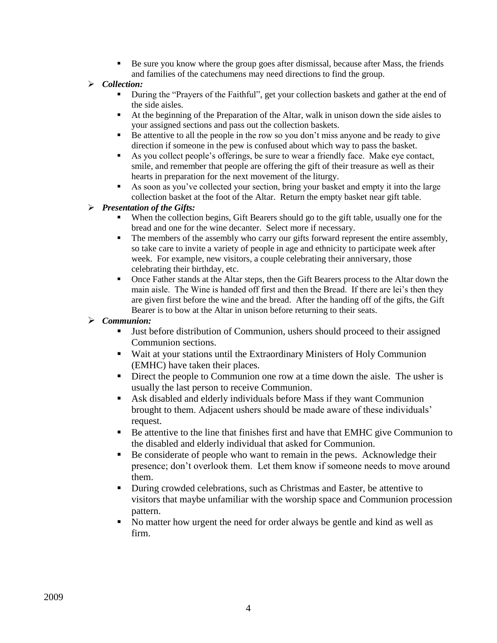- Be sure you know where the group goes after dismissal, because after Mass, the friends and families of the catechumens may need directions to find the group.
- *Collection:* 
	- During the "Prayers of the Faithful", get your collection baskets and gather at the end of the side aisles.
	- At the beginning of the Preparation of the Altar, walk in unison down the side aisles to your assigned sections and pass out the collection baskets.
	- $\blacksquare$  Be attentive to all the people in the row so you don't miss anyone and be ready to give direction if someone in the pew is confused about which way to pass the basket.
	- As you collect people's offerings, be sure to wear a friendly face. Make eye contact, smile, and remember that people are offering the gift of their treasure as well as their hearts in preparation for the next movement of the liturgy.
	- As soon as you've collected your section, bring your basket and empty it into the large collection basket at the foot of the Altar. Return the empty basket near gift table.

# *Presentation of the Gifts:*

- When the collection begins, Gift Bearers should go to the gift table, usually one for the bread and one for the wine decanter. Select more if necessary.
- The members of the assembly who carry our gifts forward represent the entire assembly, so take care to invite a variety of people in age and ethnicity to participate week after week. For example, new visitors, a couple celebrating their anniversary, those celebrating their birthday, etc.
- Once Father stands at the Altar steps, then the Gift Bearers process to the Altar down the main aisle. The Wine is handed off first and then the Bread. If there are lei's then they are given first before the wine and the bread. After the handing off of the gifts, the Gift Bearer is to bow at the Altar in unison before returning to their seats.
- *Communion:*
	- Just before distribution of Communion, ushers should proceed to their assigned Communion sections.
	- Wait at your stations until the Extraordinary Ministers of Holy Communion (EMHC) have taken their places.
	- Direct the people to Communion one row at a time down the aisle. The usher is usually the last person to receive Communion.
	- Ask disabled and elderly individuals before Mass if they want Communion brought to them. Adjacent ushers should be made aware of these individuals' request.
	- Be attentive to the line that finishes first and have that EMHC give Communion to the disabled and elderly individual that asked for Communion.
	- Be considerate of people who want to remain in the pews. Acknowledge their presence; don't overlook them. Let them know if someone needs to move around them.
	- During crowded celebrations, such as Christmas and Easter, be attentive to visitors that maybe unfamiliar with the worship space and Communion procession pattern.
	- No matter how urgent the need for order always be gentle and kind as well as firm.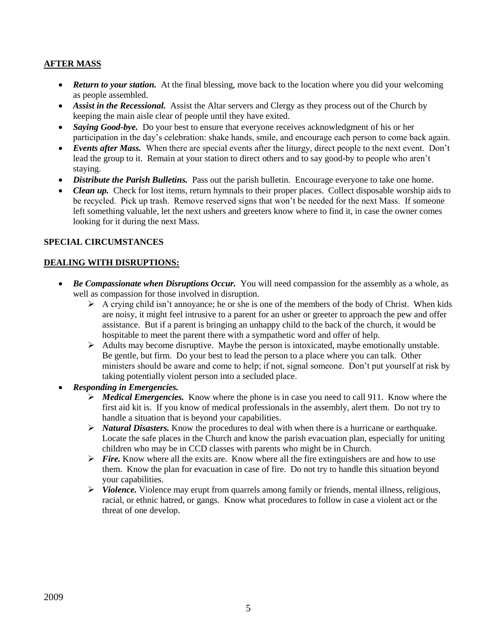## **AFTER MASS**

- **Return to your station.** At the final blessing, move back to the location where you did your welcoming as people assembled.
- Assist in the Recessional. Assist the Altar servers and Clergy as they process out of the Church by keeping the main aisle clear of people until they have exited.
- *Saying Good-bye.* Do your best to ensure that everyone receives acknowledgment of his or her participation in the day's celebration: shake hands, smile, and encourage each person to come back again.
- *Events after Mass.* When there are special events after the liturgy, direct people to the next event. Don't lead the group to it. Remain at your station to direct others and to say good-by to people who aren't staying.
- *Distribute the Parish Bulletins*. Pass out the parish bulletin. Encourage everyone to take one home.
- *Clean up.* Check for lost items, return hymnals to their proper places. Collect disposable worship aids to be recycled. Pick up trash. Remove reserved signs that won't be needed for the next Mass. If someone left something valuable, let the next ushers and greeters know where to find it, in case the owner comes looking for it during the next Mass.

### **SPECIAL CIRCUMSTANCES**

### **DEALING WITH DISRUPTIONS:**

- Be Compassionate when Disruptions Occur. You will need compassion for the assembly as a whole, as well as compassion for those involved in disruption.
	- $\triangleright$  A crying child isn't annoyance; he or she is one of the members of the body of Christ. When kids are noisy, it might feel intrusive to a parent for an usher or greeter to approach the pew and offer assistance. But if a parent is bringing an unhappy child to the back of the church, it would be hospitable to meet the parent there with a sympathetic word and offer of help.
	- $\triangleright$  Adults may become disruptive. Maybe the person is intoxicated, maybe emotionally unstable. Be gentle, but firm. Do your best to lead the person to a place where you can talk. Other ministers should be aware and come to help; if not, signal someone. Don't put yourself at risk by taking potentially violent person into a secluded place.
- *Responding in Emergencies.* 
	- *Medical Emergencies.* Know where the phone is in case you need to call 911. Know where the first aid kit is. If you know of medical professionals in the assembly, alert them. Do not try to handle a situation that is beyond your capabilities.
	- $\triangleright$  *Natural Disasters.* Know the procedures to deal with when there is a hurricane or earthquake. Locate the safe places in the Church and know the parish evacuation plan, especially for uniting children who may be in CCD classes with parents who might be in Church.
	- *Fire.* Know where all the exits are. Know where all the fire extinguishers are and how to use them. Know the plan for evacuation in case of fire. Do not try to handle this situation beyond your capabilities.
	- $\triangleright$  *Violence.* Violence may erupt from quarrels among family or friends, mental illness, religious, racial, or ethnic hatred, or gangs. Know what procedures to follow in case a violent act or the threat of one develop.